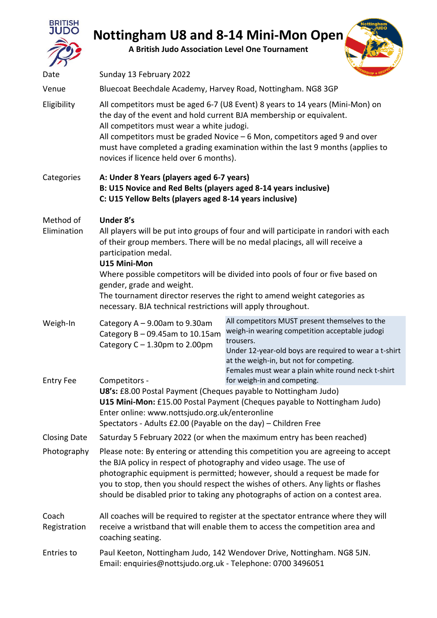

## **Nottingham U8 and 8-14 Mini-Mon Open**

**A British Judo Association Level One Tournament**



| Date                     | Sunday 13 February 2022                                                                                                                                                                                                                                                                                                                                                                                                                                                              |                                                                                                                                                                                                                                                                         |  |  |  |
|--------------------------|--------------------------------------------------------------------------------------------------------------------------------------------------------------------------------------------------------------------------------------------------------------------------------------------------------------------------------------------------------------------------------------------------------------------------------------------------------------------------------------|-------------------------------------------------------------------------------------------------------------------------------------------------------------------------------------------------------------------------------------------------------------------------|--|--|--|
| Venue                    | Bluecoat Beechdale Academy, Harvey Road, Nottingham. NG8 3GP                                                                                                                                                                                                                                                                                                                                                                                                                         |                                                                                                                                                                                                                                                                         |  |  |  |
| Eligibility              | All competitors must be aged 6-7 (U8 Event) 8 years to 14 years (Mini-Mon) on<br>the day of the event and hold current BJA membership or equivalent.<br>All competitors must wear a white judogi.<br>All competitors must be graded Novice $-6$ Mon, competitors aged 9 and over<br>must have completed a grading examination within the last 9 months (applies to<br>novices if licence held over 6 months).                                                                        |                                                                                                                                                                                                                                                                         |  |  |  |
| Categories               | A: Under 8 Years (players aged 6-7 years)<br>B: U15 Novice and Red Belts (players aged 8-14 years inclusive)<br>C: U15 Yellow Belts (players aged 8-14 years inclusive)                                                                                                                                                                                                                                                                                                              |                                                                                                                                                                                                                                                                         |  |  |  |
| Method of<br>Elimination | Under 8's<br>All players will be put into groups of four and will participate in randori with each<br>of their group members. There will be no medal placings, all will receive a<br>participation medal.<br>U15 Mini-Mon<br>Where possible competitors will be divided into pools of four or five based on<br>gender, grade and weight.<br>The tournament director reserves the right to amend weight categories as<br>necessary. BJA technical restrictions will apply throughout. |                                                                                                                                                                                                                                                                         |  |  |  |
| Weigh-In                 | Category $A - 9.00$ am to 9.30am<br>Category $B - 09.45$ am to 10.15am<br>Category $C - 1.30$ pm to 2.00pm                                                                                                                                                                                                                                                                                                                                                                           | All competitors MUST present themselves to the<br>weigh-in wearing competition acceptable judogi<br>trousers.<br>Under 12-year-old boys are required to wear a t-shirt<br>at the weigh-in, but not for competing.<br>Females must wear a plain white round neck t-shirt |  |  |  |
| <b>Entry Fee</b>         | for weigh-in and competing.<br>Competitors -<br>U8's: £8.00 Postal Payment (Cheques payable to Nottingham Judo)<br>U15 Mini-Mon: £15.00 Postal Payment (Cheques payable to Nottingham Judo)<br>Enter online: www.nottsjudo.org.uk/enteronline<br>Spectators - Adults £2.00 (Payable on the day) – Children Free                                                                                                                                                                      |                                                                                                                                                                                                                                                                         |  |  |  |
| <b>Closing Date</b>      |                                                                                                                                                                                                                                                                                                                                                                                                                                                                                      | Saturday 5 February 2022 (or when the maximum entry has been reached)                                                                                                                                                                                                   |  |  |  |
| Photography              | Please note: By entering or attending this competition you are agreeing to accept<br>the BJA policy in respect of photography and video usage. The use of<br>photographic equipment is permitted; however, should a request be made for<br>you to stop, then you should respect the wishes of others. Any lights or flashes<br>should be disabled prior to taking any photographs of action on a contest area.                                                                       |                                                                                                                                                                                                                                                                         |  |  |  |
| Coach<br>Registration    | All coaches will be required to register at the spectator entrance where they will<br>receive a wristband that will enable them to access the competition area and<br>coaching seating.                                                                                                                                                                                                                                                                                              |                                                                                                                                                                                                                                                                         |  |  |  |
| Entries to               | Paul Keeton, Nottingham Judo, 142 Wendover Drive, Nottingham. NG8 5JN.<br>Email: enquiries@nottsjudo.org.uk - Telephone: 0700 3496051                                                                                                                                                                                                                                                                                                                                                |                                                                                                                                                                                                                                                                         |  |  |  |